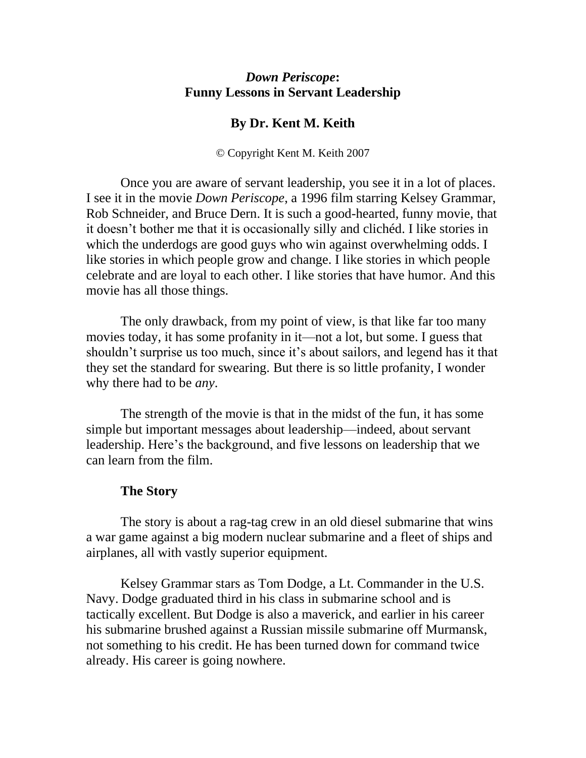## *Down Periscope***: Funny Lessons in Servant Leadership**

## **By Dr. Kent M. Keith**

© Copyright Kent M. Keith 2007

Once you are aware of servant leadership, you see it in a lot of places. I see it in the movie *Down Periscope*, a 1996 film starring Kelsey Grammar, Rob Schneider, and Bruce Dern. It is such a good-hearted, funny movie, that it doesn't bother me that it is occasionally silly and clichéd. I like stories in which the underdogs are good guys who win against overwhelming odds. I like stories in which people grow and change. I like stories in which people celebrate and are loyal to each other. I like stories that have humor. And this movie has all those things.

The only drawback, from my point of view, is that like far too many movies today, it has some profanity in it—not a lot, but some. I guess that shouldn't surprise us too much, since it's about sailors, and legend has it that they set the standard for swearing. But there is so little profanity, I wonder why there had to be *any*.

The strength of the movie is that in the midst of the fun, it has some simple but important messages about leadership—indeed, about servant leadership. Here's the background, and five lessons on leadership that we can learn from the film.

#### **The Story**

The story is about a rag-tag crew in an old diesel submarine that wins a war game against a big modern nuclear submarine and a fleet of ships and airplanes, all with vastly superior equipment.

Kelsey Grammar stars as Tom Dodge, a Lt. Commander in the U.S. Navy. Dodge graduated third in his class in submarine school and is tactically excellent. But Dodge is also a maverick, and earlier in his career his submarine brushed against a Russian missile submarine off Murmansk, not something to his credit. He has been turned down for command twice already. His career is going nowhere.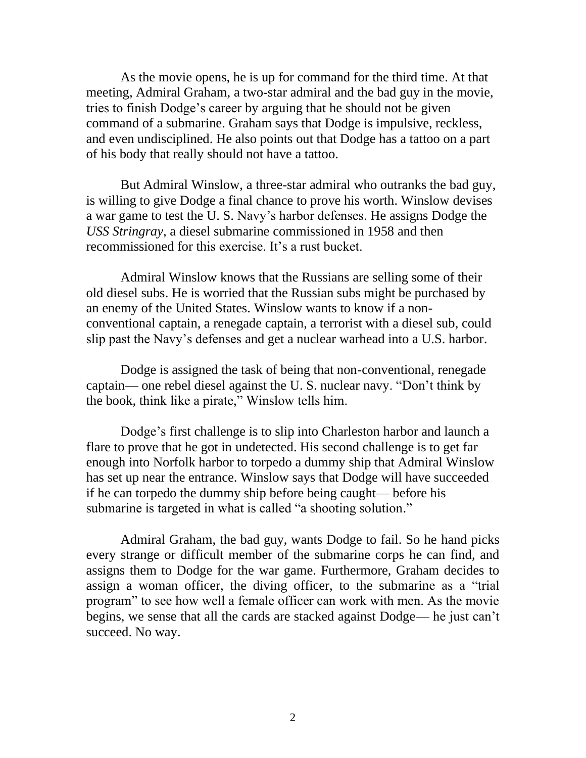As the movie opens, he is up for command for the third time. At that meeting, Admiral Graham, a two-star admiral and the bad guy in the movie, tries to finish Dodge's career by arguing that he should not be given command of a submarine. Graham says that Dodge is impulsive, reckless, and even undisciplined. He also points out that Dodge has a tattoo on a part of his body that really should not have a tattoo.

But Admiral Winslow, a three-star admiral who outranks the bad guy, is willing to give Dodge a final chance to prove his worth. Winslow devises a war game to test the U. S. Navy's harbor defenses. He assigns Dodge the *USS Stringray*, a diesel submarine commissioned in 1958 and then recommissioned for this exercise. It's a rust bucket.

Admiral Winslow knows that the Russians are selling some of their old diesel subs. He is worried that the Russian subs might be purchased by an enemy of the United States. Winslow wants to know if a nonconventional captain, a renegade captain, a terrorist with a diesel sub, could slip past the Navy's defenses and get a nuclear warhead into a U.S. harbor.

Dodge is assigned the task of being that non-conventional, renegade captain— one rebel diesel against the U. S. nuclear navy. "Don't think by the book, think like a pirate," Winslow tells him.

Dodge's first challenge is to slip into Charleston harbor and launch a flare to prove that he got in undetected. His second challenge is to get far enough into Norfolk harbor to torpedo a dummy ship that Admiral Winslow has set up near the entrance. Winslow says that Dodge will have succeeded if he can torpedo the dummy ship before being caught— before his submarine is targeted in what is called "a shooting solution."

Admiral Graham, the bad guy, wants Dodge to fail. So he hand picks every strange or difficult member of the submarine corps he can find, and assigns them to Dodge for the war game. Furthermore, Graham decides to assign a woman officer, the diving officer, to the submarine as a "trial program" to see how well a female officer can work with men. As the movie begins, we sense that all the cards are stacked against Dodge— he just can't succeed. No way.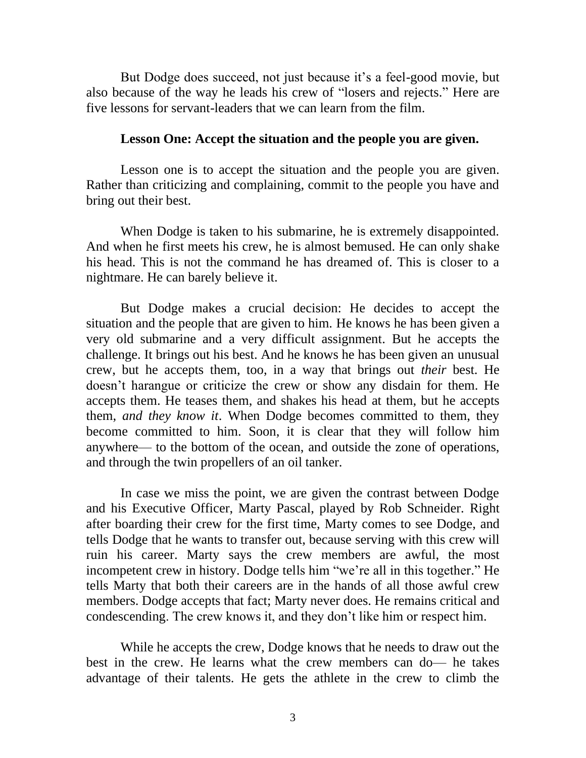But Dodge does succeed, not just because it's a feel-good movie, but also because of the way he leads his crew of "losers and rejects." Here are five lessons for servant-leaders that we can learn from the film.

### **Lesson One: Accept the situation and the people you are given.**

Lesson one is to accept the situation and the people you are given. Rather than criticizing and complaining, commit to the people you have and bring out their best.

When Dodge is taken to his submarine, he is extremely disappointed. And when he first meets his crew, he is almost bemused. He can only shake his head. This is not the command he has dreamed of. This is closer to a nightmare. He can barely believe it.

But Dodge makes a crucial decision: He decides to accept the situation and the people that are given to him. He knows he has been given a very old submarine and a very difficult assignment. But he accepts the challenge. It brings out his best. And he knows he has been given an unusual crew, but he accepts them, too, in a way that brings out *their* best. He doesn't harangue or criticize the crew or show any disdain for them. He accepts them. He teases them, and shakes his head at them, but he accepts them, *and they know it*. When Dodge becomes committed to them, they become committed to him. Soon, it is clear that they will follow him anywhere— to the bottom of the ocean, and outside the zone of operations, and through the twin propellers of an oil tanker.

In case we miss the point, we are given the contrast between Dodge and his Executive Officer, Marty Pascal, played by Rob Schneider. Right after boarding their crew for the first time, Marty comes to see Dodge, and tells Dodge that he wants to transfer out, because serving with this crew will ruin his career. Marty says the crew members are awful, the most incompetent crew in history. Dodge tells him "we're all in this together." He tells Marty that both their careers are in the hands of all those awful crew members. Dodge accepts that fact; Marty never does. He remains critical and condescending. The crew knows it, and they don't like him or respect him.

While he accepts the crew, Dodge knows that he needs to draw out the best in the crew. He learns what the crew members can do— he takes advantage of their talents. He gets the athlete in the crew to climb the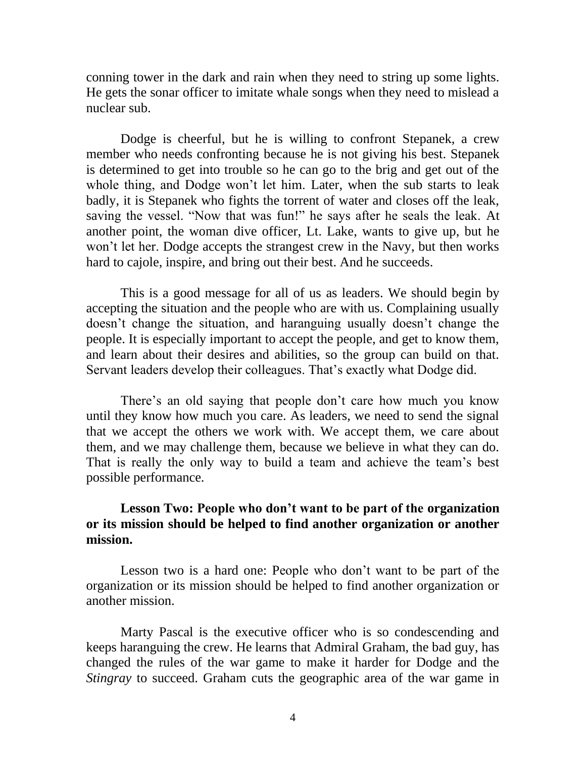conning tower in the dark and rain when they need to string up some lights. He gets the sonar officer to imitate whale songs when they need to mislead a nuclear sub.

Dodge is cheerful, but he is willing to confront Stepanek, a crew member who needs confronting because he is not giving his best. Stepanek is determined to get into trouble so he can go to the brig and get out of the whole thing, and Dodge won't let him. Later, when the sub starts to leak badly, it is Stepanek who fights the torrent of water and closes off the leak, saving the vessel. "Now that was fun!" he says after he seals the leak. At another point, the woman dive officer, Lt. Lake, wants to give up, but he won't let her. Dodge accepts the strangest crew in the Navy, but then works hard to cajole, inspire, and bring out their best. And he succeeds.

This is a good message for all of us as leaders. We should begin by accepting the situation and the people who are with us. Complaining usually doesn't change the situation, and haranguing usually doesn't change the people. It is especially important to accept the people, and get to know them, and learn about their desires and abilities, so the group can build on that. Servant leaders develop their colleagues. That's exactly what Dodge did.

There's an old saying that people don't care how much you know until they know how much you care. As leaders, we need to send the signal that we accept the others we work with. We accept them, we care about them, and we may challenge them, because we believe in what they can do. That is really the only way to build a team and achieve the team's best possible performance.

## **Lesson Two: People who don't want to be part of the organization or its mission should be helped to find another organization or another mission.**

Lesson two is a hard one: People who don't want to be part of the organization or its mission should be helped to find another organization or another mission.

Marty Pascal is the executive officer who is so condescending and keeps haranguing the crew. He learns that Admiral Graham, the bad guy, has changed the rules of the war game to make it harder for Dodge and the *Stingray* to succeed. Graham cuts the geographic area of the war game in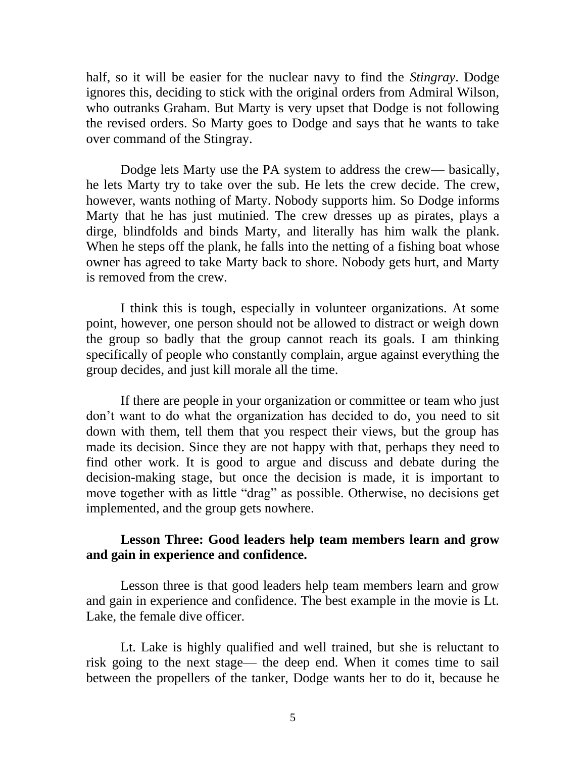half, so it will be easier for the nuclear navy to find the *Stingray*. Dodge ignores this, deciding to stick with the original orders from Admiral Wilson, who outranks Graham. But Marty is very upset that Dodge is not following the revised orders. So Marty goes to Dodge and says that he wants to take over command of the Stingray.

Dodge lets Marty use the PA system to address the crew— basically, he lets Marty try to take over the sub. He lets the crew decide. The crew, however, wants nothing of Marty. Nobody supports him. So Dodge informs Marty that he has just mutinied. The crew dresses up as pirates, plays a dirge, blindfolds and binds Marty, and literally has him walk the plank. When he steps off the plank, he falls into the netting of a fishing boat whose owner has agreed to take Marty back to shore. Nobody gets hurt, and Marty is removed from the crew.

I think this is tough, especially in volunteer organizations. At some point, however, one person should not be allowed to distract or weigh down the group so badly that the group cannot reach its goals. I am thinking specifically of people who constantly complain, argue against everything the group decides, and just kill morale all the time.

If there are people in your organization or committee or team who just don't want to do what the organization has decided to do, you need to sit down with them, tell them that you respect their views, but the group has made its decision. Since they are not happy with that, perhaps they need to find other work. It is good to argue and discuss and debate during the decision-making stage, but once the decision is made, it is important to move together with as little "drag" as possible. Otherwise, no decisions get implemented, and the group gets nowhere.

# **Lesson Three: Good leaders help team members learn and grow and gain in experience and confidence.**

Lesson three is that good leaders help team members learn and grow and gain in experience and confidence. The best example in the movie is Lt. Lake, the female dive officer.

Lt. Lake is highly qualified and well trained, but she is reluctant to risk going to the next stage— the deep end. When it comes time to sail between the propellers of the tanker, Dodge wants her to do it, because he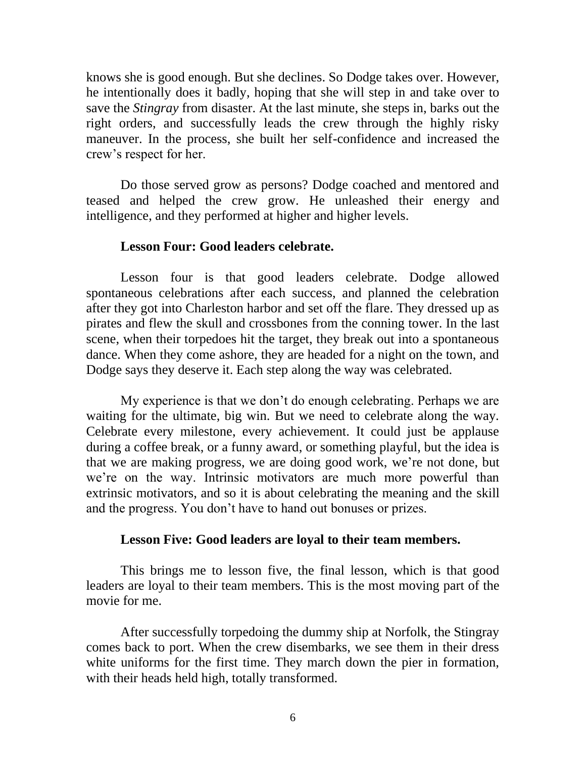knows she is good enough. But she declines. So Dodge takes over. However, he intentionally does it badly, hoping that she will step in and take over to save the *Stingray* from disaster. At the last minute, she steps in, barks out the right orders, and successfully leads the crew through the highly risky maneuver. In the process, she built her self-confidence and increased the crew's respect for her.

Do those served grow as persons? Dodge coached and mentored and teased and helped the crew grow. He unleashed their energy and intelligence, and they performed at higher and higher levels.

### **Lesson Four: Good leaders celebrate.**

Lesson four is that good leaders celebrate. Dodge allowed spontaneous celebrations after each success, and planned the celebration after they got into Charleston harbor and set off the flare. They dressed up as pirates and flew the skull and crossbones from the conning tower. In the last scene, when their torpedoes hit the target, they break out into a spontaneous dance. When they come ashore, they are headed for a night on the town, and Dodge says they deserve it. Each step along the way was celebrated.

My experience is that we don't do enough celebrating. Perhaps we are waiting for the ultimate, big win. But we need to celebrate along the way. Celebrate every milestone, every achievement. It could just be applause during a coffee break, or a funny award, or something playful, but the idea is that we are making progress, we are doing good work, we're not done, but we're on the way. Intrinsic motivators are much more powerful than extrinsic motivators, and so it is about celebrating the meaning and the skill and the progress. You don't have to hand out bonuses or prizes.

### **Lesson Five: Good leaders are loyal to their team members.**

This brings me to lesson five, the final lesson, which is that good leaders are loyal to their team members. This is the most moving part of the movie for me.

After successfully torpedoing the dummy ship at Norfolk, the Stingray comes back to port. When the crew disembarks, we see them in their dress white uniforms for the first time. They march down the pier in formation, with their heads held high, totally transformed.